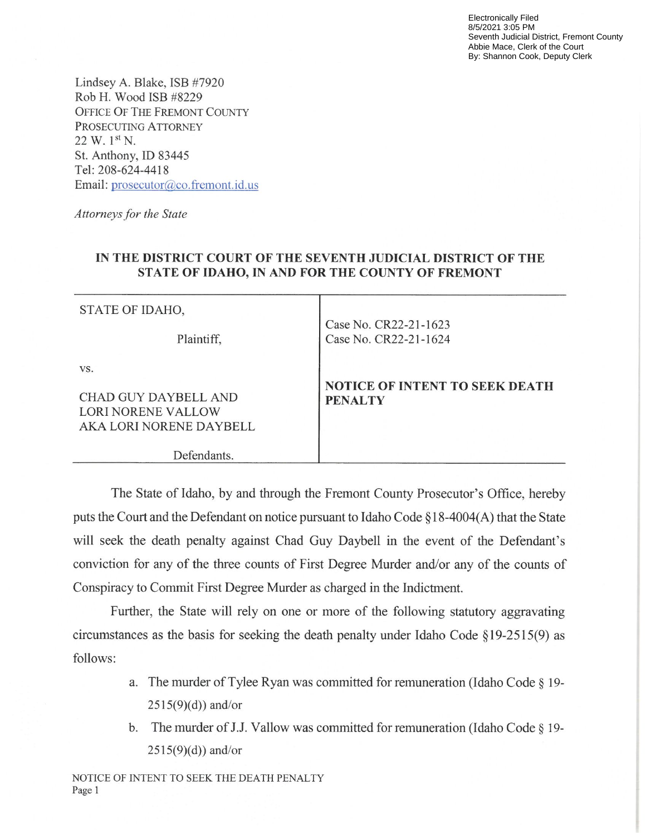Electronically Filed 8/5/2021 3:05 PM Seventh Judicial District, Fremont County Abbie Mace, Clerk of the Court By: Shannon Cook, Deputy Clerk

Lindsey A. Blake, ISB #7920 Rob H. Wood ISB #8229 OFFICE OF THE FREMONT COUNTy PROSECUTING ATTORNEY  $22 W. 1<sup>st</sup> N.$ St. Anthony, ID 83445 Tel: 208-624-4418 Email: prosecutor@co.fremont.id.us

Attorneys for the State

## IN THE DISTRICT COURT OF THE SEVENTH JUDICIAL DISTRICT OF THE STATE OF IDAHO, IN AND FOR THE COUNTY OF FREMONT

Τ

| STATE OF IDAHO,                                                              |                                                         |
|------------------------------------------------------------------------------|---------------------------------------------------------|
| Plaintiff,                                                                   | Case No. CR22-21-1623<br>Case No. CR22-21-1624          |
| VS.<br>CHAD GUY DAYBELL AND<br>LORI NORENE VALLOW<br>AKA LORI NORENE DAYBELL | <b>NOTICE OF INTENT TO SEEK DEATH</b><br><b>PENALTY</b> |
| Defendants.                                                                  |                                                         |

The State of Idaho, by and through the Fremont County Prosecutor's Office, hereby puts the Court and the Defendant on notice pursuant to Idaho Code § 18-4004(A) that the State will seek the death penalty against Chad Guy Daybell in the event of the Defendant's conviction for any of the three counts of First Degree Murder and/or any of the counts of Conspiracy to Commit First Degree Murder as charged in the Indictment.

Further, the State will rely on one or more of the following statutory aggravating circumstances as the basis for seeking the death penalty under Idaho Code §19-2515(9) as follows:

- a. The murder of Tylee Ryan was committed for remuneration (Idaho Code § 19- $2515(9)(d)$ ) and/or
- b. The murder of J.J. Vallow was committed for remuneration (Idaho Code § 19- $2515(9)(d)$ ) and/or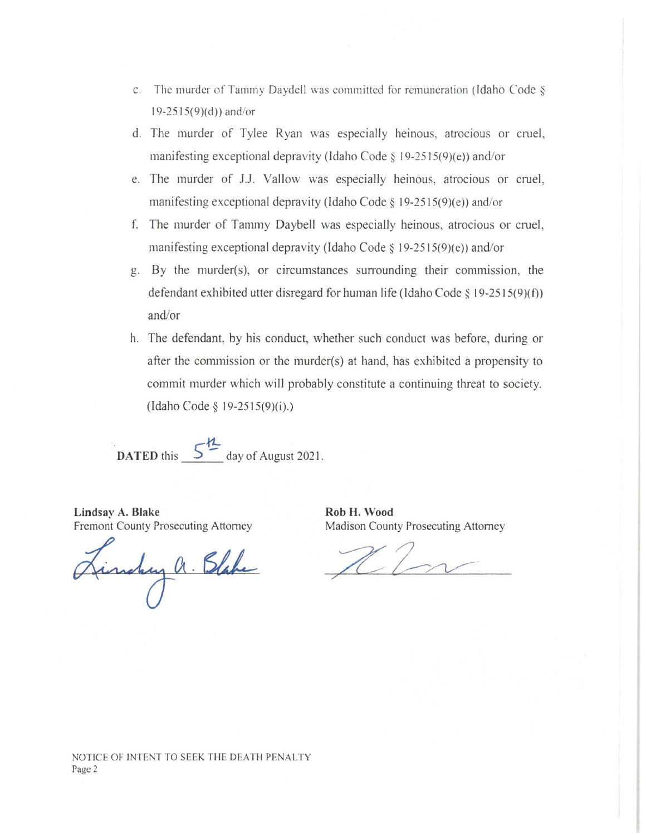- c, The murder of Tammy Daydel] was committed for remuneration (Idaho Code §  $19-2515(9)(d)$ ) and/or
- d. The murder of Tylee Ryan was especially heinous, atrocious or cruel, manifesting exceptional depravity (Idaho Code § 19-2515(9)(e)) and/or
- e. The murder of J.J. Vallow was especially heinous, atrocious or cmel, manifesting exceptional depravity (Idaho Code § 19-2515(9)(e)) and/or
- f. The murder of Tammy Daybell was especially heinous, atrocious or cmel, manifesting exceptional depravity (Idaho Code  $\S$  19-2515(9)(e)) and/or
- g. By the murder(s), or circumstances surrounding their commission, the defendant exhibited utter disregard for human life (Idaho Code § 19-2515(9)(f)) and/or
- h. The defendant, by his conduct, whether such conduct was before, during or after the commission or the murder(s) at hand, has exhibited a propensity to commit murder which will probably constitute a continuing threat to society. (Idaho Code§ 19-2515(9)(i).)

DATED this  $5^{\frac{h}{2}}$ day of August 2021.

Lindsay A. Blake Fremont County Prosecuting Attorney

Finchy a. Blake

Rob H. Wood Madison County Prosecuting Attorney

NOTICE OF INTENT TO SEEK THE DEATH PENALTY Page 2